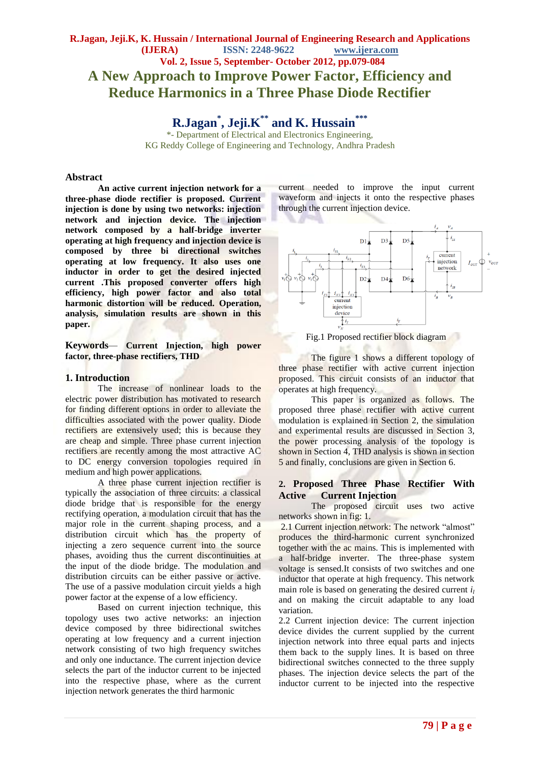# **R.Jagan, Jeji.K, K. Hussain / International Journal of Engineering Research and Applications (IJERA) ISSN: 2248-9622 www.ijera.com Vol. 2, Issue 5, September- October 2012, pp.079-084 A New Approach to Improve Power Factor, Efficiency and Reduce Harmonics in a Three Phase Diode Rectifier**

**R.Jagan\* , Jeji.K\*\* and K. Hussain\*\*\***

\*- Department of Electrical and Electronics Engineering, KG Reddy College of Engineering and Technology, Andhra Pradesh

### **Abstract**

**An active current injection network for a three-phase diode rectifier is proposed. Current injection is done by using two networks: injection network and injection device. The injection network composed by a half-bridge inverter operating at high frequency and injection device is composed by three bi directional switches operating at low frequency. It also uses one inductor in order to get the desired injected current .This proposed converter offers high efficiency, high power factor and also total harmonic distortion will be reduced. Operation, analysis, simulation results are shown in this paper.**

**Keywords***—* **Current Injection, high power factor, three-phase rectifiers, THD**

# **1. Introduction**

The increase of nonlinear loads to the electric power distribution has motivated to research for finding different options in order to alleviate the difficulties associated with the power quality. Diode rectifiers are extensively used; this is because they are cheap and simple. Three phase current injection rectifiers are recently among the most attractive AC to DC energy conversion topologies required in medium and high power applications.

A three phase current injection rectifier is typically the association of three circuits: a classical diode bridge that is responsible for the energy rectifying operation, a modulation circuit that has the major role in the current shaping process, and a distribution circuit which has the property of injecting a zero sequence current into the source phases, avoiding thus the current discontinuities at the input of the diode bridge. The modulation and distribution circuits can be either passive or active. The use of a passive modulation circuit yields a high power factor at the expense of a low efficiency.

Based on current injection technique, this topology uses two active networks: an injection device composed by three bidirectional switches operating at low frequency and a current injection network consisting of two high frequency switches and only one inductance. The current injection device selects the part of the inductor current to be injected into the respective phase, where as the current injection network generates the third harmonic

current needed to improve the input current waveform and injects it onto the respective phases through the current injection device.





The figure 1 shows a different topology of three phase rectifier with active current injection proposed. This circuit consists of an inductor that operates at high frequency.

This paper is organized as follows. The proposed three phase rectifier with active current modulation is explained in Section 2, the simulation and experimental results are discussed in Section 3, the power processing analysis of the topology is shown in Section 4, THD analysis is shown in section 5 and finally, conclusions are given in Section 6.

# **2. Proposed Three Phase Rectifier With Active Current Injection**

The proposed circuit uses two active networks shown in fig: 1.

2.1 Current injection network: The network "almost" produces the third-harmonic current synchronized together with the ac mains. This is implemented with a half-bridge inverter. The three-phase system voltage is sensed.It consists of two switches and one inductor that operate at high frequency. This network main role is based on generating the desired current *i<sup>l</sup>* and on making the circuit adaptable to any load variation.

2.2 Current injection device: The current injection device divides the current supplied by the current injection network into three equal parts and injects them back to the supply lines. It is based on three bidirectional switches connected to the three supply phases. The injection device selects the part of the inductor current to be injected into the respective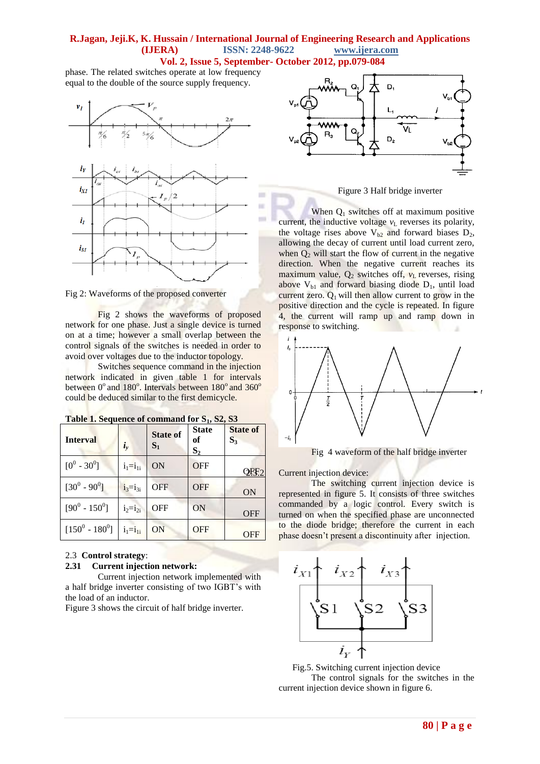phase. The related switches operate at low frequency equal to the double of the source supply frequency.



Fig 2: Waveforms of the proposed converter

Fig 2 shows the waveforms of proposed network for one phase. Just a single device is turned on at a time; however a small overlap between the control signals of the switches is needed in order to avoid over voltages due to the inductor topology.

Switches sequence command in the injection network indicated in given table 1 for intervals between 0° and 180°. Intervals between 180° and 360° could be deduced similar to the first demicycle.

| <b>Interval</b>     | $\dot{\iota}_v$ | <b>State of</b><br>$S_1$ | <b>State</b><br>оf<br>$S_2$ | <b>State of</b><br>$S_3$ |
|---------------------|-----------------|--------------------------|-----------------------------|--------------------------|
| $[0^0 - 30^0]$      | $i_1 = i_{1i}$  | ON                       | <b>OFF</b>                  |                          |
| $[30^0 \cdot 90^0]$ | $i_3 = i_{3i}$  | <b>OFF</b>               | <b>OFF</b>                  | <b>ON</b>                |
| $[90^0 - 150^0]$    | $i_2=i_{2i}$    | <b>OFF</b>               | <b>ON</b>                   | OFF                      |
| $[150^0 - 180^0]$   | $i_1=i_{1i}$    | <b>ON</b>                | <b>OFF</b>                  | <b>OFF</b>               |

**Table 1. Sequence of command for S1, S2, S3** 

# 2.3 **Control strategy**:

## **2.31 Current injection network:**

Current injection network implemented with a half bridge inverter consisting of two IGBT"s with the load of an inductor.

Figure 3 shows the circuit of half bridge inverter.



Figure 3 Half bridge inverter

When  $Q_1$  switches off at maximum positive current, the inductive voltage  $v<sub>L</sub>$  reverses its polarity, the voltage rises above  $V_{b2}$  and forward biases  $D_2$ , allowing the decay of current until load current zero, when  $Q_2$  will start the flow of current in the negative direction. When the negative current reaches its maximum value,  $Q_2$  switches off,  $v_L$  reverses, rising above  $V_{b1}$  and forward biasing diode  $D_1$ , until load current zero.  $Q_1$  will then allow current to grow in the positive direction and the cycle is repeated. In figure 4, the current will ramp up and ramp down in response to switching.



Fig 4 waveform of the half bridge inverter

Current injection device:

The switching current injection device is represented in figure 5. It consists of three switches commanded by a logic control. Every switch is turned on when the specified phase are unconnected to the diode bridge; therefore the current in each phase doesn"t present a discontinuity after injection.



Fig.5. Switching current injection device

The control signals for the switches in the current injection device shown in figure 6.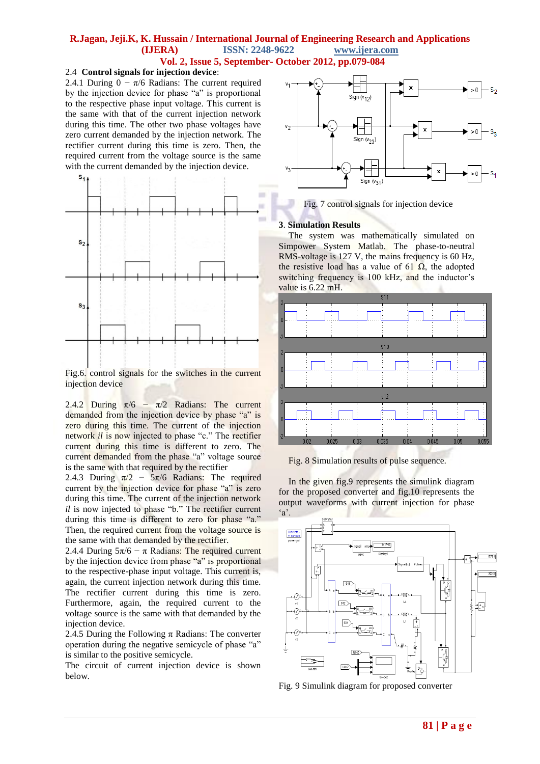### 2.4 **Control signals for injection device**:

2.4.1 During  $0 - \pi/6$  Radians: The current required by the injection device for phase "a" is proportional to the respective phase input voltage. This current is the same with that of the current injection network during this time. The other two phase voltages have zero current demanded by the injection network. The rectifier current during this time is zero. Then, the required current from the voltage source is the same with the current demanded by the injection device.



Fig.6. control signals for the switches in the current injection device

2.4.2 During  $\pi/6 - \pi/2$  Radians: The current demanded from the injection device by phase "a" is zero during this time. The current of the injection network *il* is now injected to phase "c." The rectifier current during this time is different to zero. The current demanded from the phase "a" voltage source is the same with that required by the rectifier

2.4.3 During  $\pi/2$  –  $5\pi/6$  Radians: The required current by the injection device for phase "a" is zero during this time. The current of the injection network *il* is now injected to phase "b." The rectifier current during this time is different to zero for phase "a." Then, the required current from the voltage source is the same with that demanded by the rectifier.

2.4.4 During  $5\pi/6 - \pi$  Radians: The required current by the injection device from phase "a" is proportional to the respective-phase input voltage. This current is, again, the current injection network during this time. The rectifier current during this time is zero. Furthermore, again, the required current to the voltage source is the same with that demanded by the injection device.

2.4.5 During the Following  $\pi$  Radians: The converter operation during the negative semicycle of phase "a" is similar to the positive semicycle.

The circuit of current injection device is shown below.



Fig. 7 control signals for injection device

### **3**. **Simulation Results**

The system was mathematically simulated on Simpower System Matlab. The phase-to-neutral RMS-voltage is 127 V, the mains frequency is 60 Hz, the resistive load has a value of 61  $\Omega$ , the adopted switching frequency is 100 kHz, and the inductor's value is 6.22 mH.



Fig. 8 Simulation results of pulse sequence.

In the given fig.9 represents the simulink diagram for the proposed converter and fig.10 represents the output waveforms with current injection for phase  $a$ .



Fig. 9 Simulink diagram for proposed converter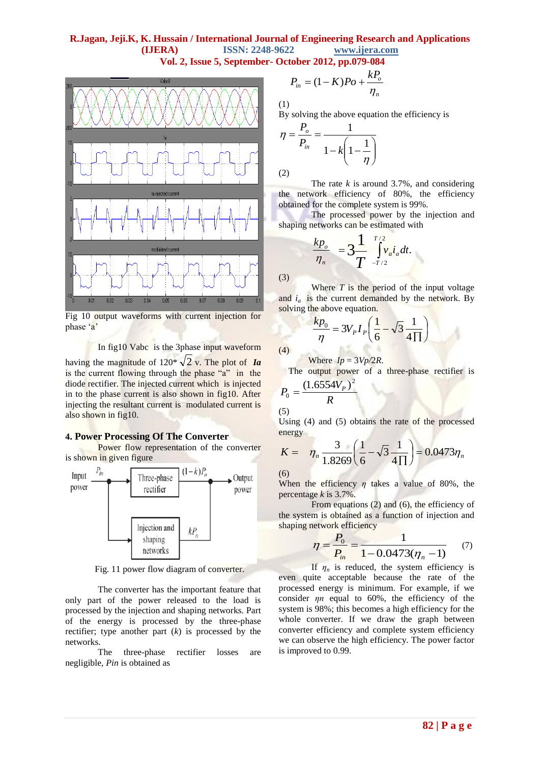

Fig 10 output waveforms with current injection for phase 'a'

In fig10 Vabc is the 3phase input waveform

having the magnitude of  $120^* \sqrt{2}$  v. The plot of *Ia* is the current flowing through the phase "a" in the diode rectifier. The injected current which is injected in to the phase current is also shown in fig10. After injecting the resultant current is modulated current is also shown in fig10.

# **4. Power Processing Of The Converter**

Power flow representation of the converter is shown in given figure



Fig. 11 power flow diagram of converter.

The converter has the important feature that only part of the power released to the load is processed by the injection and shaping networks. Part of the energy is processed by the three-phase rectifier; type another part (*k*) is processed by the networks.

The three-phase rectifier losses are negligible, *Pin* is obtained as

$$
P_{in} = (1 - K)Po + \frac{kP_o}{\eta_n}
$$

(1)

By solving the above equation the efficiency is

$$
\eta = \frac{P_o}{P_{in}} = \frac{1}{1 - k \left(1 - \frac{1}{\eta}\right)}
$$
\n(2)

The rate *k* is around 3.7%, and considering the network efficiency of 80%, the efficiency obtained for the complete system is 99%.

The processed power by the injection and shaping networks can be estimated with

$$
\frac{kp_o}{\eta_n} = 3 \frac{1}{T} \int_{-T/2}^{T/2} v_a i_a dt.
$$

(3)

(4)

Where *T* is the period of the input voltage and  $i_a$  is the current demanded by the network. By solving the above equation.

$$
\frac{kp_0}{\eta} = 3V_p I_p \left(\frac{1}{6} - \sqrt{3}\frac{1}{4\Pi}\right)
$$

Where  $I_p = 3V_p/2R$ .

The output power of a three-phase rectifier is  $(1.6554V_p)^2$ 

$$
P_0 = \frac{(1.6334V_P)}{R}
$$

(5)

Using (4) and (5) obtains the rate of the processed energy

$$
K = \eta_n \frac{3}{1.8269} \left( \frac{1}{6} - \sqrt{3} \frac{1}{4 \Pi} \right) = 0.0473 \eta_n
$$

(6)

When the efficiency *η* takes a value of 80%, the percentage *k* is 3.7%.

From equations (2) and (6), the efficiency of the system is obtained as a function of injection and shaping network efficiency

$$
\eta = \frac{P_0}{P_{in}} = \frac{1}{1 - 0.0473(\eta_n - 1)}
$$
(7)

If  $\eta_n$  is reduced, the system efficiency is even quite acceptable because the rate of the processed energy is minimum. For example, if we consider *ηn* equal to 60%, the efficiency of the system is 98%; this becomes a high efficiency for the whole converter. If we draw the graph between converter efficiency and complete system efficiency we can observe the high efficiency. The power factor is improved to 0.99.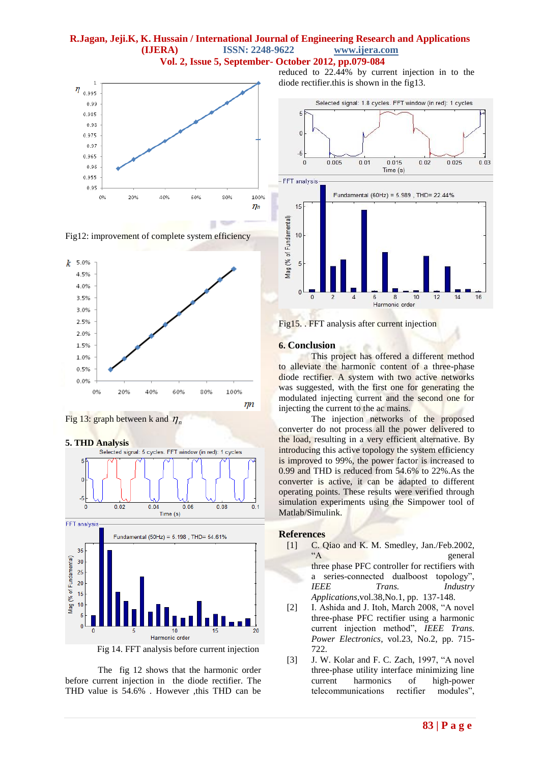





Fig 13: graph between k and  $\eta_n$ 





Fig 14. FFT analysis before current injection

The fig 12 shows that the harmonic order before current injection in the diode rectifier. The THD value is 54.6% . However ,this THD can be

reduced to 22.44% by current injection in to the diode rectifier.this is shown in the fig13.



Fig15. . FFT analysis after current injection

#### **6. Conclusion**

This project has offered a different method to alleviate the harmonic content of a three-phase diode rectifier. A system with two active networks was suggested, with the first one for generating the modulated injecting current and the second one for injecting the current to the ac mains.

The injection networks of the proposed converter do not process all the power delivered to the load, resulting in a very efficient alternative. By introducing this active topology the system efficiency is improved to 99%, the power factor is increased to 0.99 and THD is reduced from 54.6% to 22%.As the converter is active, it can be adapted to different operating points. These results were verified through simulation experiments using the Simpower tool of Matlab/Simulink.

#### **References**

- [1] C. Qiao and K. M. Smedley, Jan./Feb.2002, "A general three phase PFC controller for rectifiers with a series-connected dualboost topology", *IEEE Trans. Industry Applications*,vol.38,No.1, pp. 137-148.
- [2] I. Ashida and J. Itoh, March 2008, "A novel three-phase PFC rectifier using a harmonic current injection method", *IEEE Trans. Power Electronics*, vol.23, No.2, pp. 715- 722.
- [3] J. W. Kolar and F. C. Zach, 1997, "A novel three-phase utility interface minimizing line current harmonics of high-power telecommunications rectifier modules",